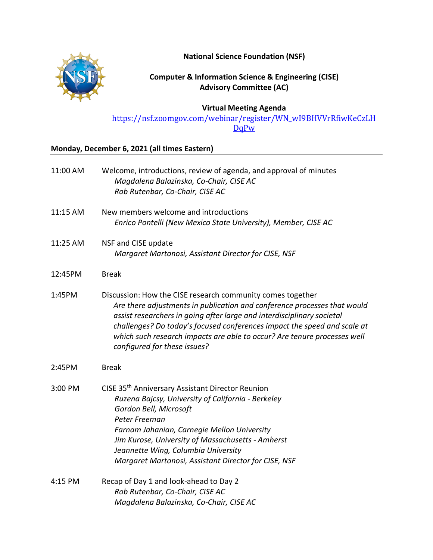**National Science Foundation (NSF)**



**Computer & Information Science & Engineering (CISE) Advisory Committee (AC)**

## **Virtual Meeting Agenda**

[https://nsf.zoomgov.com/webinar/register/WN\\_wI9BHVVrRfiwKeCzLH](https://nsf.zoomgov.com/webinar/register/WN_wI9BHVVrRfiwKeCzLHDqPw) DqPw

## **Monday, December 6, 2021 (all times Eastern)**

| 11:00 AM | Welcome, introductions, review of agenda, and approval of minutes<br>Magdalena Balazinska, Co-Chair, CISE AC<br>Rob Rutenbar, Co-Chair, CISE AC                                                                                                                                                                                                                                                          |
|----------|----------------------------------------------------------------------------------------------------------------------------------------------------------------------------------------------------------------------------------------------------------------------------------------------------------------------------------------------------------------------------------------------------------|
| 11:15 AM | New members welcome and introductions<br>Enrico Pontelli (New Mexico State University), Member, CISE AC                                                                                                                                                                                                                                                                                                  |
| 11:25 AM | NSF and CISE update<br>Margaret Martonosi, Assistant Director for CISE, NSF                                                                                                                                                                                                                                                                                                                              |
| 12:45PM  | <b>Break</b>                                                                                                                                                                                                                                                                                                                                                                                             |
| 1:45PM   | Discussion: How the CISE research community comes together<br>Are there adjustments in publication and conference processes that would<br>assist researchers in going after large and interdisciplinary societal<br>challenges? Do today's focused conferences impact the speed and scale at<br>which such research impacts are able to occur? Are tenure processes well<br>configured for these issues? |
| 2:45PM   | <b>Break</b>                                                                                                                                                                                                                                                                                                                                                                                             |
| 3:00 PM  | CISE 35 <sup>th</sup> Anniversary Assistant Director Reunion<br>Ruzena Bajcsy, University of California - Berkeley<br>Gordon Bell, Microsoft<br>Peter Freeman<br>Farnam Jahanian, Carnegie Mellon University<br>Jim Kurose, University of Massachusetts - Amherst<br>Jeannette Wing, Columbia University<br>Margaret Martonosi, Assistant Director for CISE, NSF                                         |
| 4:15 PM  | Recap of Day 1 and look-ahead to Day 2<br>Rob Rutenbar, Co-Chair, CISE AC<br>Magdalena Balazinska, Co-Chair, CISE AC                                                                                                                                                                                                                                                                                     |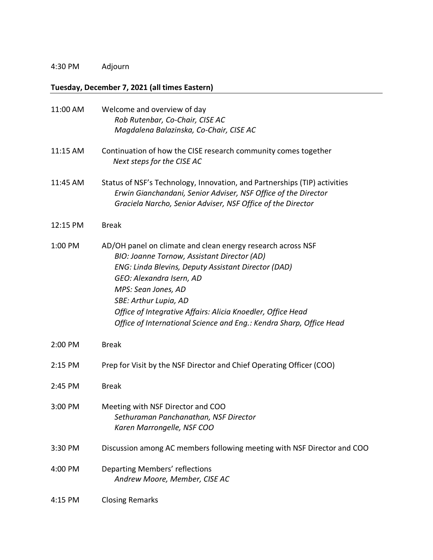## 4:30 PM Adjourn

## **Tuesday, December 7, 2021 (all times Eastern)**

| 11:00 AM | Welcome and overview of day                                                                                                                                                                                                                                                                                                                                                         |
|----------|-------------------------------------------------------------------------------------------------------------------------------------------------------------------------------------------------------------------------------------------------------------------------------------------------------------------------------------------------------------------------------------|
|          | Rob Rutenbar, Co-Chair, CISE AC<br>Magdalena Balazinska, Co-Chair, CISE AC                                                                                                                                                                                                                                                                                                          |
| 11:15 AM | Continuation of how the CISE research community comes together<br>Next steps for the CISE AC                                                                                                                                                                                                                                                                                        |
| 11:45 AM | Status of NSF's Technology, Innovation, and Partnerships (TIP) activities<br>Erwin Gianchandani, Senior Adviser, NSF Office of the Director<br>Graciela Narcho, Senior Adviser, NSF Office of the Director                                                                                                                                                                          |
| 12:15 PM | <b>Break</b>                                                                                                                                                                                                                                                                                                                                                                        |
| 1:00 PM  | AD/OH panel on climate and clean energy research across NSF<br>BIO: Joanne Tornow, Assistant Director (AD)<br>ENG: Linda Blevins, Deputy Assistant Director (DAD)<br>GEO: Alexandra Isern, AD<br>MPS: Sean Jones, AD<br>SBE: Arthur Lupia, AD<br>Office of Integrative Affairs: Alicia Knoedler, Office Head<br>Office of International Science and Eng.: Kendra Sharp, Office Head |
| 2:00 PM  | <b>Break</b>                                                                                                                                                                                                                                                                                                                                                                        |
| 2:15 PM  | Prep for Visit by the NSF Director and Chief Operating Officer (COO)                                                                                                                                                                                                                                                                                                                |
| 2:45 PM  | <b>Break</b>                                                                                                                                                                                                                                                                                                                                                                        |
| 3:00 PM  | Meeting with NSF Director and COO<br>Sethuraman Panchanathan, NSF Director<br>Karen Marrongelle, NSF COO                                                                                                                                                                                                                                                                            |
| 3:30 PM  | Discussion among AC members following meeting with NSF Director and COO                                                                                                                                                                                                                                                                                                             |
| 4:00 PM  | Departing Members' reflections<br>Andrew Moore, Member, CISE AC                                                                                                                                                                                                                                                                                                                     |
| 4:15 PM  | <b>Closing Remarks</b>                                                                                                                                                                                                                                                                                                                                                              |